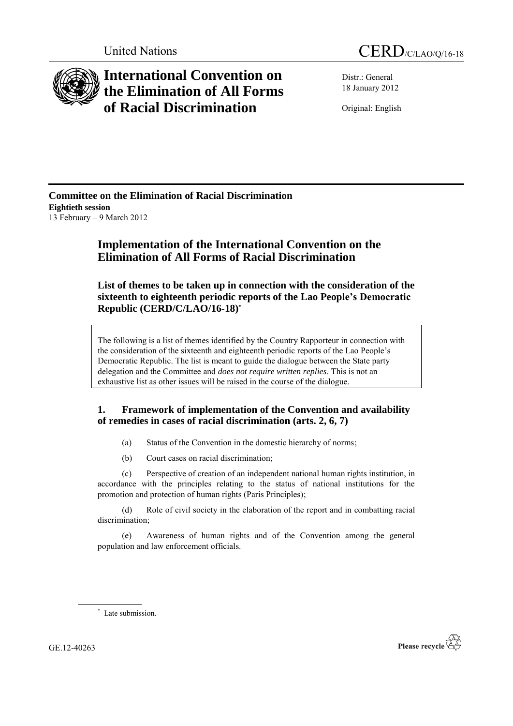

# **International Convention on the Elimination of All Forms of Racial Discrimination**

Distr.: General 18 January 2012

Original: English

**Committee on the Elimination of Racial Discrimination Eightieth session** 13 February – 9 March 2012

# **Implementation of the International Convention on the Elimination of All Forms of Racial Discrimination**

**List of themes to be taken up in connection with the consideration of the sixteenth to eighteenth periodic reports of the Lao People's Democratic Republic (CERD/C/LAO/16-18) \***

The following is a list of themes identified by the Country Rapporteur in connection with the consideration of the sixteenth and eighteenth periodic reports of the Lao People's Democratic Republic. The list is meant to guide the dialogue between the State party delegation and the Committee and *does not require written replies*. This is not an exhaustive list as other issues will be raised in the course of the dialogue.

## **1. Framework of implementation of the Convention and availability of remedies in cases of racial discrimination (arts. 2, 6, 7)**

- (a) Status of the Convention in the domestic hierarchy of norms;
- (b) Court cases on racial discrimination;

(c) Perspective of creation of an independent national human rights institution, in accordance with the principles relating to the status of national institutions for the promotion and protection of human rights (Paris Principles);

(d) Role of civil society in the elaboration of the report and in combatting racial discrimination;

(e) Awareness of human rights and of the Convention among the general population and law enforcement officials.

\* Late submission.

GE.12-40263